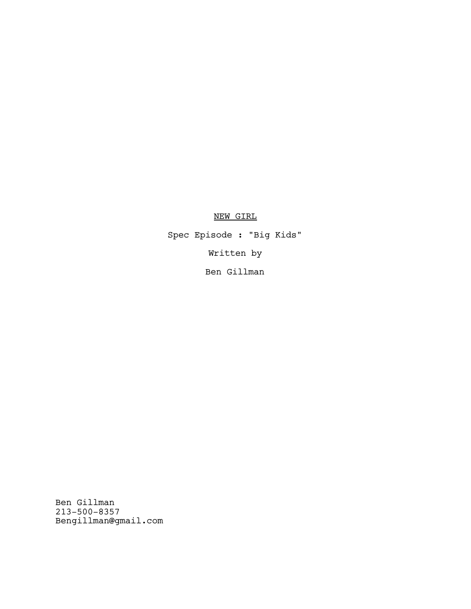# NEW GIRL

Spec Episode : "Big Kids" Written by Ben Gillman

Ben Gillman 213-500-8357 Bengillman@gmail.com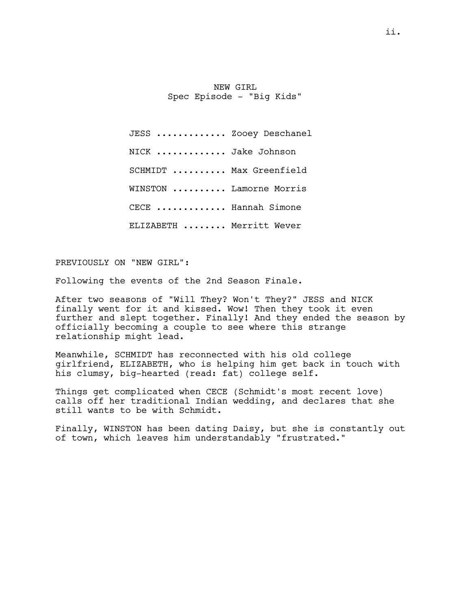NEW GIRL Spec Episode - "Big Kids"

JESS ............. Zooey Deschanel NICK ............ Jake Johnson SCHMIDT ......... Max Greenfield WINSTON ......... Lamorne Morris CECE ............ Hannah Simone ELIZABETH ........ Merritt Wever

PREVIOUSLY ON "NEW GIRL":

Following the events of the 2nd Season Finale.

After two seasons of "Will They? Won't They?" JESS and NICK finally went for it and kissed. Wow! Then they took it even further and slept together. Finally! And they ended the season by officially becoming a couple to see where this strange relationship might lead.

Meanwhile, SCHMIDT has reconnected with his old college girlfriend, ELIZABETH, who is helping him get back in touch with his clumsy, big-hearted (read: fat) college self.

Things get complicated when CECE (Schmidt's most recent love) calls off her traditional Indian wedding, and declares that she still wants to be with Schmidt.

Finally, WINSTON has been dating Daisy, but she is constantly out of town, which leaves him understandably "frustrated."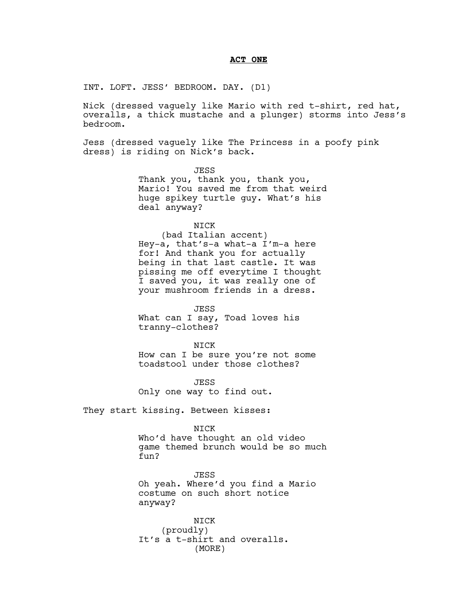### **ACT ONE**

INT. LOFT. JESS' BEDROOM. DAY. (D1)

Nick (dressed vaguely like Mario with red t-shirt, red hat, overalls, a thick mustache and a plunger) storms into Jess's bedroom.

Jess (dressed vaguely like The Princess in a poofy pink dress) is riding on Nick's back.

> JESS Thank you, thank you, thank you, Mario! You saved me from that weird huge spikey turtle guy. What's his deal anyway?

> > NICK

(bad Italian accent) Hey-a, that's-a what-a I'm-a here for! And thank you for actually being in that last castle. It was pissing me off everytime I thought I saved you, it was really one of your mushroom friends in a dress.

JESS What can I say, Toad loves his tranny-clothes?

NICK How can I be sure you're not some toadstool under those clothes?

**JESS** Only one way to find out.

They start kissing. Between kisses:

NICK

Who'd have thought an old video game themed brunch would be so much fun?

JESS Oh yeah. Where'd you find a Mario costume on such short notice anyway?

NICK (proudly) It's a t-shirt and overalls. (MORE)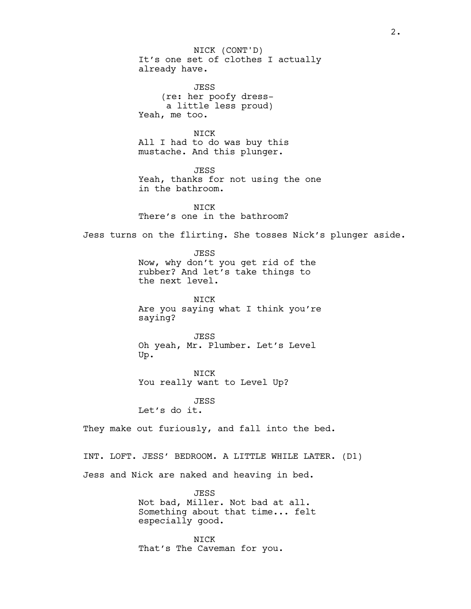It's one set of clothes I actually already have. JESS (re: her poofy dressa little less proud) Yeah, me too. NICK All I had to do was buy this mustache. And this plunger. JESS Yeah, thanks for not using the one in the bathroom. NICK There's one in the bathroom? Jess turns on the flirting. She tosses Nick's plunger aside. JESS Now, why don't you get rid of the rubber? And let's take things to the next level. **NTCK** Are you saying what I think you're saying? JESS Oh yeah, Mr. Plumber. Let's Level Up. NICK You really want to Level Up? **JESS** Let's do it. They make out furiously, and fall into the bed. INT. LOFT. JESS' BEDROOM. A LITTLE WHILE LATER. (D1) Jess and Nick are naked and heaving in bed. JESS Not bad, Miller. Not bad at all. Something about that time... felt especially good. NICK (CONT'D)

NICK That's The Caveman for you.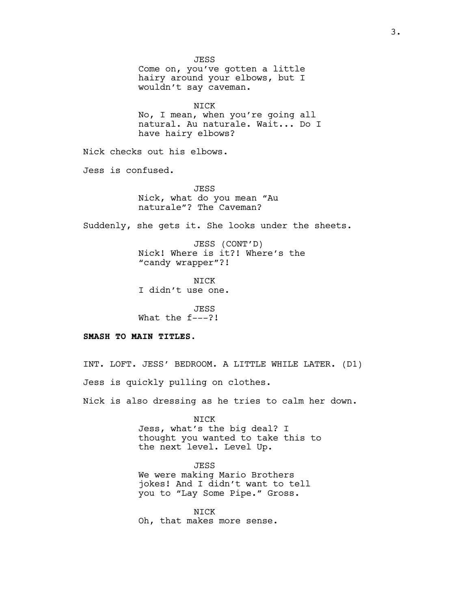**JESS** Come on, you've gotten a little hairy around your elbows, but I wouldn't say caveman. NICK No, I mean, when you're going all natural. Au naturale. Wait... Do I have hairy elbows? Nick checks out his elbows. Jess is confused. **JESS** Nick, what do you mean "Au naturale"? The Caveman? Suddenly, she gets it. She looks under the sheets. JESS (CONT'D) Nick! Where is it?! Where's the "candy wrapper"?! NICK I didn't use one. JESS What the f---?! **SMASH TO MAIN TITLES.** INT. LOFT. JESS' BEDROOM. A LITTLE WHILE LATER. (D1) Jess is quickly pulling on clothes.

Nick is also dressing as he tries to calm her down.

NICK Jess, what's the big deal? I thought you wanted to take this to the next level. Level Up.

JESS We were making Mario Brothers jokes! And I didn't want to tell you to "Lay Some Pipe." Gross.

NICK Oh, that makes more sense.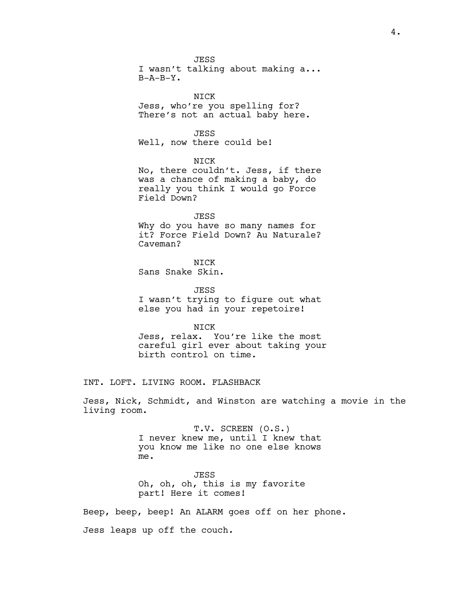**JESS** I wasn't talking about making a...  $B-A-B-Y$ .

NICK Jess, who're you spelling for? There's not an actual baby here.

JESS

Well, now there could be!

NICK

No, there couldn't. Jess, if there was a chance of making a baby, do really you think I would go Force Field Down?

JESS

Why do you have so many names for it? Force Field Down? Au Naturale? Caveman?

**NTCK** Sans Snake Skin.

JESS I wasn't trying to figure out what else you had in your repetoire!

NICK

Jess, relax. You're like the most careful girl ever about taking your birth control on time.

INT. LOFT. LIVING ROOM. FLASHBACK

Jess, Nick, Schmidt, and Winston are watching a movie in the living room.

> T.V. SCREEN (O.S.) I never knew me, until I knew that you know me like no one else knows me.

JESS Oh, oh, oh, this is my favorite part! Here it comes!

Beep, beep, beep! An ALARM goes off on her phone.

Jess leaps up off the couch.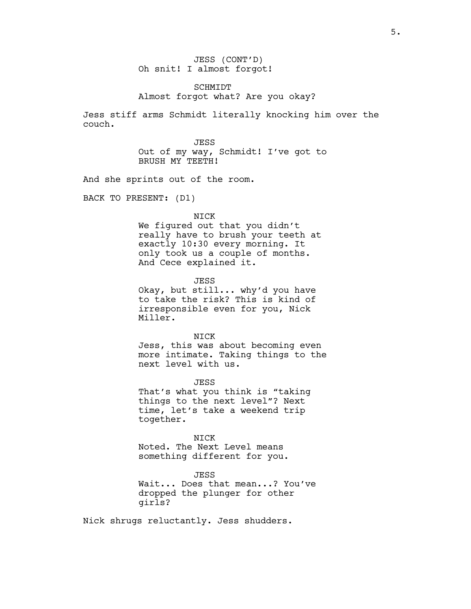JESS (CONT'D) Oh snit! I almost forgot!

# SCHMIDT Almost forgot what? Are you okay?

Jess stiff arms Schmidt literally knocking him over the couch.

> JESS Out of my way, Schmidt! I've got to BRUSH MY TEETH!

And she sprints out of the room.

BACK TO PRESENT: (D1)

NICK

We figured out that you didn't really have to brush your teeth at exactly 10:30 every morning. It only took us a couple of months. And Cece explained it.

**JESS** 

Okay, but still... why'd you have to take the risk? This is kind of irresponsible even for you, Nick Miller.

NICK

Jess, this was about becoming even more intimate. Taking things to the next level with us.

**JESS** That's what you think is "taking things to the next level"? Next time, let's take a weekend trip together.

NICK Noted. The Next Level means something different for you.

JESS Wait... Does that mean...? You've dropped the plunger for other girls?

Nick shrugs reluctantly. Jess shudders.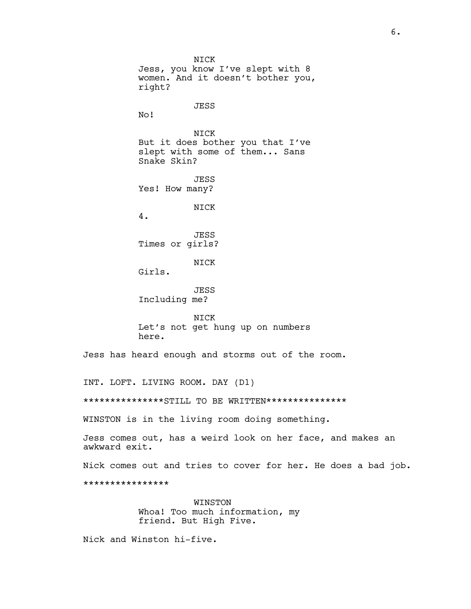NICK Jess, you know I've slept with 8 women. And it doesn't bother you, right? JESS No! NICK But it does bother you that I've slept with some of them... Sans Snake Skin? **JESS** Yes! How many? NICK 4. JESS Times or girls? NICK Girls. JESS Including me? NICK Let's not get hung up on numbers here. Jess has heard enough and storms out of the room. INT. LOFT. LIVING ROOM. DAY (D1) \*\*\*\*\*\*\*\*\*\*\*\*\*\*STILL TO BE WRITTEN\*\*\*\*\*\*\*\*\*\*\*\*\*\*\* WINSTON is in the living room doing something.

Jess comes out, has a weird look on her face, and makes an awkward exit.

Nick comes out and tries to cover for her. He does a bad job.

\*\*\*\*\*\*\*\*\*\*\*\*\*\*\*\*

WINSTON Whoa! Too much information, my friend. But High Five.

Nick and Winston hi-five.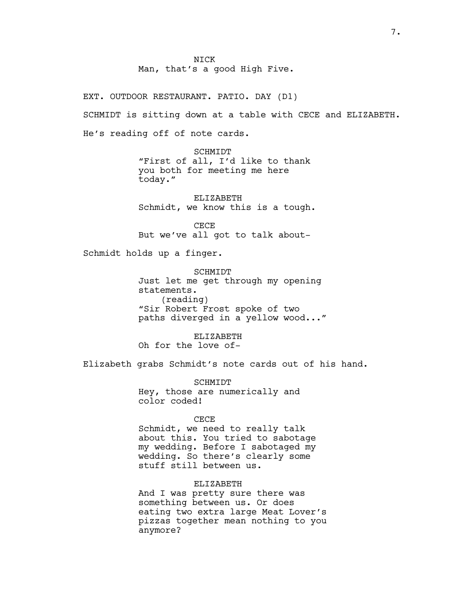**NTCK** Man, that's a good High Five.

EXT. OUTDOOR RESTAURANT. PATIO. DAY (D1) SCHMIDT is sitting down at a table with CECE and ELIZABETH. He's reading off of note cards.

> SCHMIDT "First of all, I'd like to thank you both for meeting me here today."

ELIZABETH Schmidt, we know this is a tough.

CECE But we've all got to talk about-

Schmidt holds up a finger.

SCHMIDT Just let me get through my opening statements. (reading) "Sir Robert Frost spoke of two paths diverged in a yellow wood..."

ELIZABETH Oh for the love of-

Elizabeth grabs Schmidt's note cards out of his hand.

SCHMIDT Hey, those are numerically and color coded!

#### CECE

Schmidt, we need to really talk about this. You tried to sabotage my wedding. Before I sabotaged my wedding. So there's clearly some stuff still between us.

# ELIZABETH

And I was pretty sure there was something between us. Or does eating two extra large Meat Lover's pizzas together mean nothing to you anymore?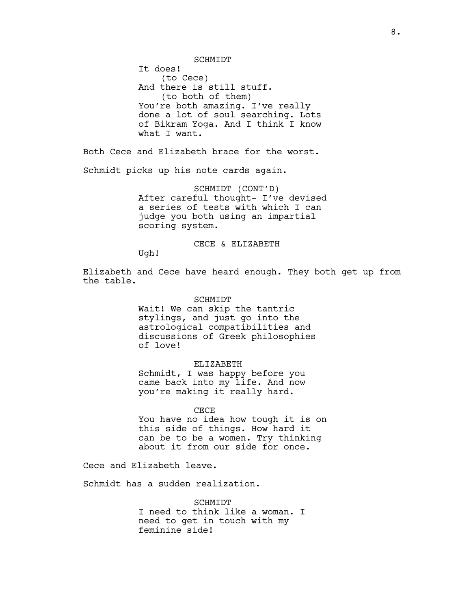SCHMIDT

It does! (to Cece) And there is still stuff. (to both of them) You're both amazing. I've really done a lot of soul searching. Lots of Bikram Yoga. And I think I know what I want.

Both Cece and Elizabeth brace for the worst.

Schmidt picks up his note cards again.

SCHMIDT (CONT'D) After careful thought- I've devised a series of tests with which I can judge you both using an impartial scoring system.

CECE & ELIZABETH

Ugh!

Elizabeth and Cece have heard enough. They both get up from the table.

#### SCHMIDT

Wait! We can skip the tantric stylings, and just go into the astrological compatibilities and discussions of Greek philosophies of love!

# ELIZABETH

Schmidt, I was happy before you came back into my life. And now you're making it really hard.

#### CECE

You have no idea how tough it is on this side of things. How hard it can be to be a women. Try thinking about it from our side for once.

Cece and Elizabeth leave.

Schmidt has a sudden realization.

SCHMIDT I need to think like a woman. I need to get in touch with my feminine side!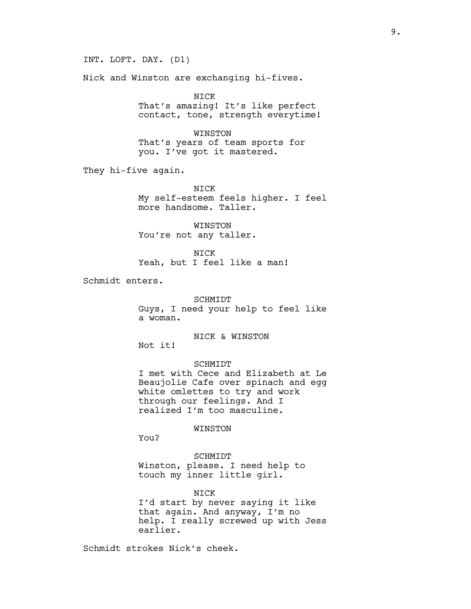INT. LOFT. DAY. (D1)

Nick and Winston are exchanging hi-fives.

NICK That's amazing! It's like perfect contact, tone, strength everytime!

WINSTON That's years of team sports for you. I've got it mastered.

They hi-five again.

NICK My self-esteem feels higher. I feel more handsome. Taller.

WINSTON You're not any taller.

NICK Yeah, but I feel like a man!

Schmidt enters.

SCHMIDT Guys, I need your help to feel like a woman.

NICK & WINSTON

SCHMIDT

I met with Cece and Elizabeth at Le Beaujolie Cafe over spinach and egg white omlettes to try and work through our feelings. And I realized I'm too masculine.

# WINSTON

You?

Not it!

SCHMIDT Winston, please. I need help to touch my inner little girl.

NICK I'd start by never saying it like that again. And anyway, I'm no help. I really screwed up with Jess earlier.

Schmidt strokes Nick's cheek.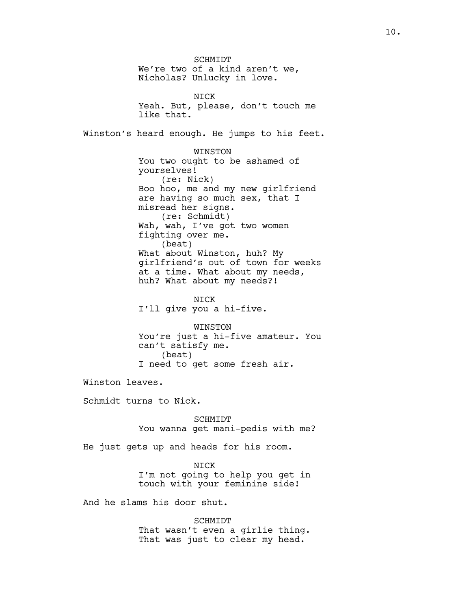**SCHMIDT** We're two of a kind aren't we, Nicholas? Unlucky in love. NICK Yeah. But, please, don't touch me like that. Winston's heard enough. He jumps to his feet. WINSTON You two ought to be ashamed of yourselves! (re: Nick) Boo hoo, me and my new girlfriend are having so much sex, that I misread her signs. (re: Schmidt) Wah, wah, I've got two women fighting over me. (beat) What about Winston, huh? My girlfriend's out of town for weeks at a time. What about my needs, huh? What about my needs?! NICK I'll give you a hi-five. WINSTON You're just a hi-five amateur. You can't satisfy me. (beat) I need to get some fresh air. Winston leaves.

Schmidt turns to Nick.

SCHMIDT You wanna get mani-pedis with me?

He just gets up and heads for his room.

NICK I'm not going to help you get in touch with your feminine side!

And he slams his door shut.

SCHMIDT That wasn't even a girlie thing. That was just to clear my head.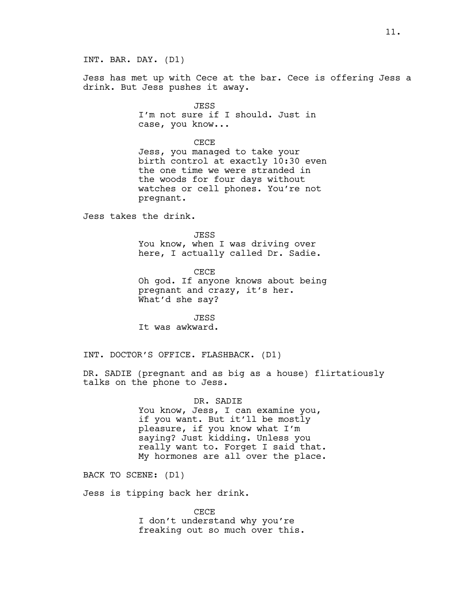INT. BAR. DAY. (D1)

Jess has met up with Cece at the bar. Cece is offering Jess a drink. But Jess pushes it away.

> JESS I'm not sure if I should. Just in case, you know...

CECE Jess, you managed to take your birth control at exactly 10:30 even the one time we were stranded in the woods for four days without watches or cell phones. You're not pregnant.

Jess takes the drink.

**JESS** You know, when I was driving over here, I actually called Dr. Sadie.

CECE Oh god. If anyone knows about being pregnant and crazy, it's her. What'd she say?

JESS It was awkward.

INT. DOCTOR'S OFFICE. FLASHBACK. (D1)

DR. SADIE (pregnant and as big as a house) flirtatiously talks on the phone to Jess.

> DR. SADIE You know, Jess, I can examine you, if you want. But it'll be mostly pleasure, if you know what I'm saying? Just kidding. Unless you really want to. Forget I said that. My hormones are all over the place.

BACK TO SCENE: (D1)

Jess is tipping back her drink.

CECE I don't understand why you're freaking out so much over this.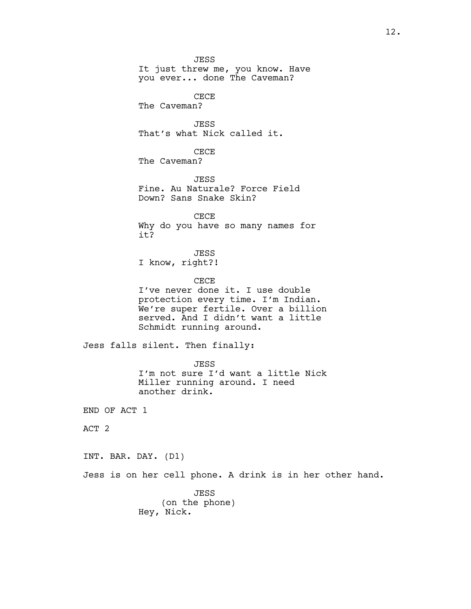JESS It just threw me, you know. Have you ever... done The Caveman? CECE The Caveman? JESS That's what Nick called it. CECE The Caveman? **JESS** Fine. Au Naturale? Force Field Down? Sans Snake Skin? CECE Why do you have so many names for it? JESS I know, right?! CECE I've never done it. I use double protection every time. I'm Indian. We're super fertile. Over a billion served. And I didn't want a little Schmidt running around. Jess falls silent. Then finally: JESS I'm not sure I'd want a little Nick Miller running around. I need another drink. END OF ACT 1 ACT 2 INT. BAR. DAY. (D1) Jess is on her cell phone. A drink is in her other hand. JESS (on the phone) Hey, Nick.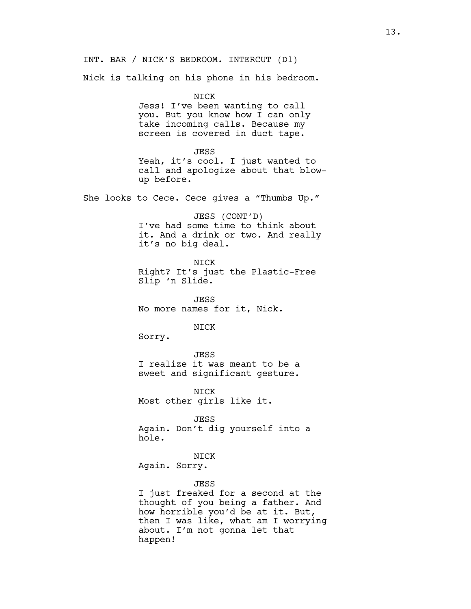INT. BAR / NICK'S BEDROOM. INTERCUT (D1)

Nick is talking on his phone in his bedroom.

NICK

Jess! I've been wanting to call you. But you know how I can only take incoming calls. Because my screen is covered in duct tape.

#### JESS

Yeah, it's cool. I just wanted to call and apologize about that blowup before.

She looks to Cece. Cece gives a "Thumbs Up."

JESS (CONT'D) I've had some time to think about it. And a drink or two. And really it's no big deal.

NICK

Right? It's just the Plastic-Free Slip 'n Slide.

JESS No more names for it, Nick.

NICK

Sorry.

JESS I realize it was meant to be a sweet and significant gesture.

NICK Most other girls like it.

JESS Again. Don't dig yourself into a hole.

NICK Again. Sorry.

#### JESS

I just freaked for a second at the thought of you being a father. And how horrible you'd be at it. But, then I was like, what am I worrying about. I'm not gonna let that happen!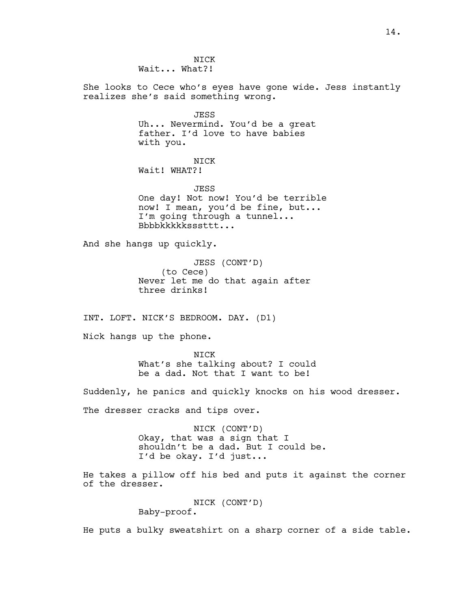**NTCK** Wait... What?!

She looks to Cece who's eyes have gone wide. Jess instantly realizes she's said something wrong.

> JESS Uh... Nevermind. You'd be a great father. I'd love to have babies with you.

NICK Wait! WHAT?!

JESS One day! Not now! You'd be terrible now! I mean, you'd be fine, but... I'm going through a tunnel... Bbbbkkkkksssttt...

And she hangs up quickly.

JESS (CONT'D) (to Cece) Never let me do that again after three drinks!

INT. LOFT. NICK'S BEDROOM. DAY. (D1)

Nick hangs up the phone.

NICK What's she talking about? I could be a dad. Not that I want to be!

Suddenly, he panics and quickly knocks on his wood dresser.

The dresser cracks and tips over.

NICK (CONT'D) Okay, that was a sign that I shouldn't be a dad. But I could be. I'd be okay. I'd just...

He takes a pillow off his bed and puts it against the corner of the dresser.

> NICK (CONT'D) Baby-proof.

He puts a bulky sweatshirt on a sharp corner of a side table.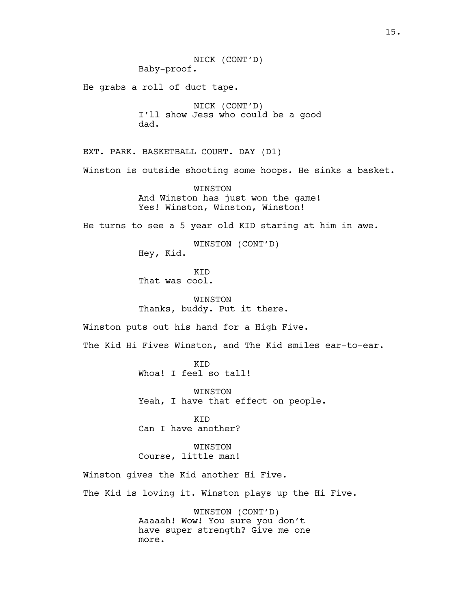NICK (CONT'D) Baby-proof. He grabs a roll of duct tape. NICK (CONT'D) I'll show Jess who could be a good dad. EXT. PARK. BASKETBALL COURT. DAY (D1) Winston is outside shooting some hoops. He sinks a basket. WINSTON And Winston has just won the game! Yes! Winston, Winston, Winston! He turns to see a 5 year old KID staring at him in awe. WINSTON (CONT'D) Hey, Kid. KID That was cool. WINSTON Thanks, buddy. Put it there. Winston puts out his hand for a High Five. The Kid Hi Fives Winston, and The Kid smiles ear-to-ear. **KTD** Whoa! I feel so tall! WINSTON Yeah, I have that effect on people. KID Can I have another? WINSTON Course, little man! Winston gives the Kid another Hi Five. The Kid is loving it. Winston plays up the Hi Five. WINSTON (CONT'D) Aaaaah! Wow! You sure you don't have super strength? Give me one more.

15.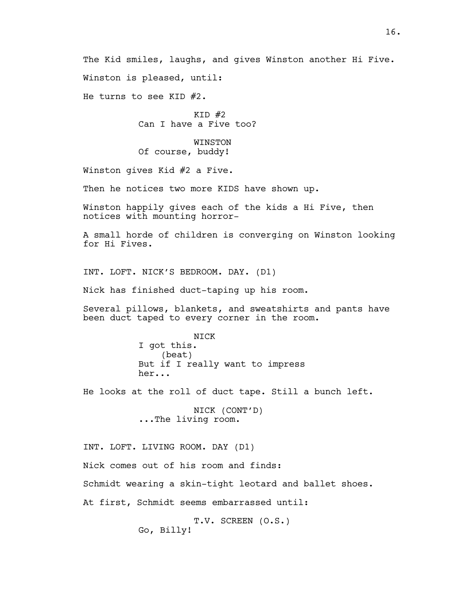The Kid smiles, laughs, and gives Winston another Hi Five. Winston is pleased, until:

He turns to see KID #2.

 $KID$  #2 Can I have a Five too?

WINSTON Of course, buddy!

Winston gives Kid #2 a Five.

Then he notices two more KIDS have shown up.

Winston happily gives each of the kids a Hi Five, then notices with mounting horror-

A small horde of children is converging on Winston looking for Hi Fives.

INT. LOFT. NICK'S BEDROOM. DAY. (D1)

Nick has finished duct-taping up his room.

Several pillows, blankets, and sweatshirts and pants have been duct taped to every corner in the room.

> NICK I got this. (beat) But if I really want to impress her...

He looks at the roll of duct tape. Still a bunch left.

NICK (CONT'D) ...The living room.

INT. LOFT. LIVING ROOM. DAY (D1)

Nick comes out of his room and finds:

Schmidt wearing a skin-tight leotard and ballet shoes.

At first, Schmidt seems embarrassed until:

T.V. SCREEN (O.S.) Go, Billy!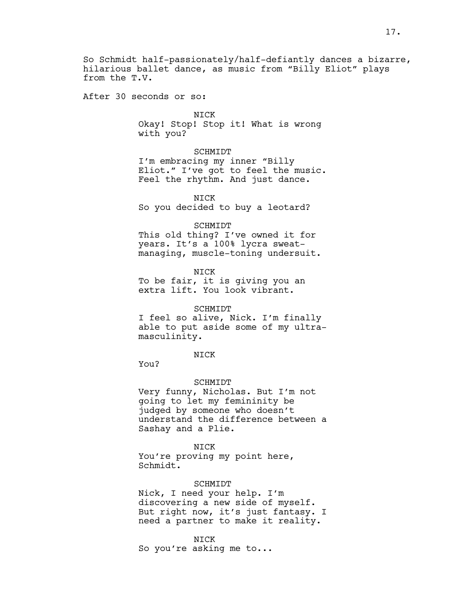So Schmidt half-passionately/half-defiantly dances a bizarre, hilarious ballet dance, as music from "Billy Eliot" plays from the T.V.

After 30 seconds or so:

NICK

Okay! Stop! Stop it! What is wrong with you?

SCHMIDT

I'm embracing my inner "Billy Eliot." I've got to feel the music. Feel the rhythm. And just dance.

NICK So you decided to buy a leotard?

#### SCHMIDT

This old thing? I've owned it for years. It's a 100% lycra sweatmanaging, muscle-toning undersuit.

NICK To be fair, it is giving you an extra lift. You look vibrant.

#### SCHMIDT

I feel so alive, Nick. I'm finally able to put aside some of my ultramasculinity.

NICK

You?

#### SCHMIDT

Very funny, Nicholas. But I'm not going to let my femininity be judged by someone who doesn't understand the difference between a Sashay and a Plie.

NICK You're proving my point here, Schmidt.

#### SCHMIDT

Nick, I need your help. I'm discovering a new side of myself. But right now, it's just fantasy. I need a partner to make it reality.

NICK

So you're asking me to...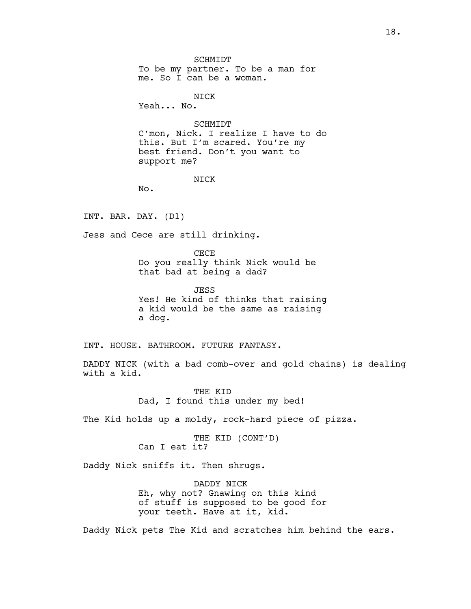SCHMIDT To be my partner. To be a man for me. So I can be a woman.

NICK

Yeah... No.

SCHMIDT C'mon, Nick. I realize I have to do this. But I'm scared. You're my best friend. Don't you want to support me?

# **NTCK**

No.

INT. BAR. DAY. (D1)

Jess and Cece are still drinking.

CECE

Do you really think Nick would be that bad at being a dad?

JESS Yes! He kind of thinks that raising a kid would be the same as raising a dog.

INT. HOUSE. BATHROOM. FUTURE FANTASY.

DADDY NICK (with a bad comb-over and gold chains) is dealing with a kid.

> THE KID Dad, I found this under my bed!

The Kid holds up a moldy, rock-hard piece of pizza.

THE KID (CONT'D) Can I eat it?

Daddy Nick sniffs it. Then shrugs.

DADDY NICK Eh, why not? Gnawing on this kind of stuff is supposed to be good for your teeth. Have at it, kid.

Daddy Nick pets The Kid and scratches him behind the ears.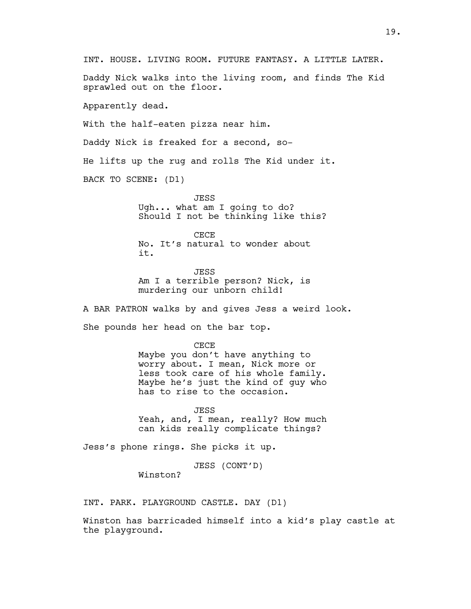Daddy Nick walks into the living room, and finds The Kid sprawled out on the floor.

Apparently dead.

With the half-eaten pizza near him.

Daddy Nick is freaked for a second, so-

He lifts up the rug and rolls The Kid under it.

BACK TO SCENE: (D1)

**JESS** Ugh... what am I going to do? Should I not be thinking like this?

CECE No. It's natural to wonder about it.

JESS Am I a terrible person? Nick, is murdering our unborn child!

A BAR PATRON walks by and gives Jess a weird look.

She pounds her head on the bar top.

CECE Maybe you don't have anything to worry about. I mean, Nick more or less took care of his whole family. Maybe he's just the kind of guy who has to rise to the occasion.

JESS Yeah, and, I mean, really? How much can kids really complicate things?

Jess's phone rings. She picks it up.

JESS (CONT'D)

Winston?

INT. PARK. PLAYGROUND CASTLE. DAY (D1)

Winston has barricaded himself into a kid's play castle at the playground.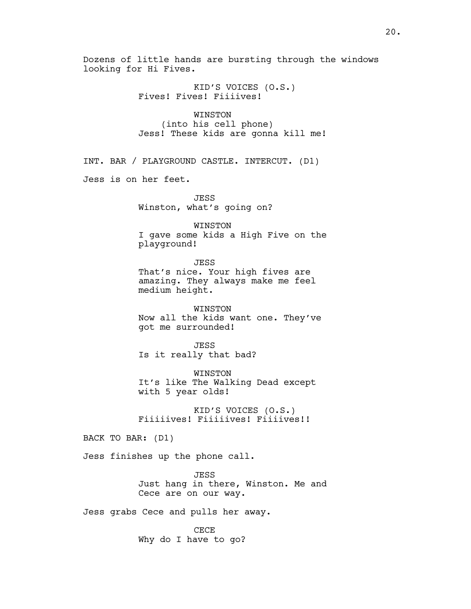Dozens of little hands are bursting through the windows looking for Hi Fives.

> KID'S VOICES (O.S.) Fives! Fives! Fiiiives!

WINSTON (into his cell phone) Jess! These kids are gonna kill me!

INT. BAR / PLAYGROUND CASTLE. INTERCUT. (D1)

Jess is on her feet.

**JESS** Winston, what's going on?

WINSTON I gave some kids a High Five on the playground!

JESS That's nice. Your high fives are amazing. They always make me feel medium height.

WINSTON Now all the kids want one. They've got me surrounded!

**JESS** Is it really that bad?

WINSTON It's like The Walking Dead except with 5 year olds!

KID'S VOICES (O.S.) Fiiiiives! Fiiiiives! Fiiiives!!

BACK TO BAR: (D1)

Jess finishes up the phone call.

JESS Just hang in there, Winston. Me and Cece are on our way.

Jess grabs Cece and pulls her away.

CECE Why do I have to go?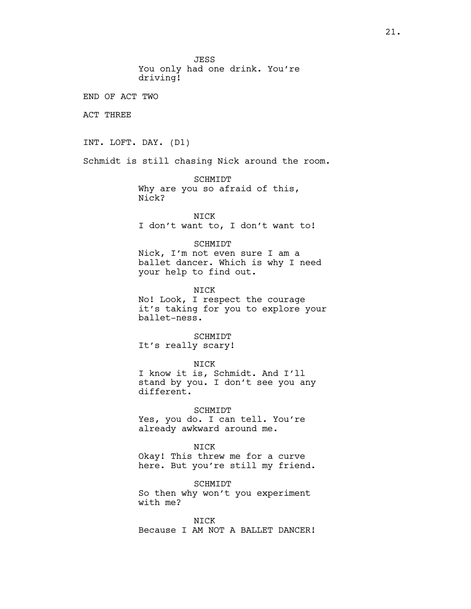**JESS** You only had one drink. You're driving! END OF ACT TWO ACT THREE INT. LOFT. DAY. (D1) Schmidt is still chasing Nick around the room. SCHMIDT Why are you so afraid of this, Nick? NICK I don't want to, I don't want to! SCHMIDT Nick, I'm not even sure I am a ballet dancer. Which is why I need your help to find out. NICK No! Look, I respect the courage it's taking for you to explore your ballet-ness. SCHMIDT It's really scary! NICK I know it is, Schmidt. And I'll stand by you. I don't see you any different. SCHMIDT Yes, you do. I can tell. You're already awkward around me. NICK Okay! This threw me for a curve here. But you're still my friend. SCHMIDT So then why won't you experiment with me? NICK Because I AM NOT A BALLET DANCER!

21.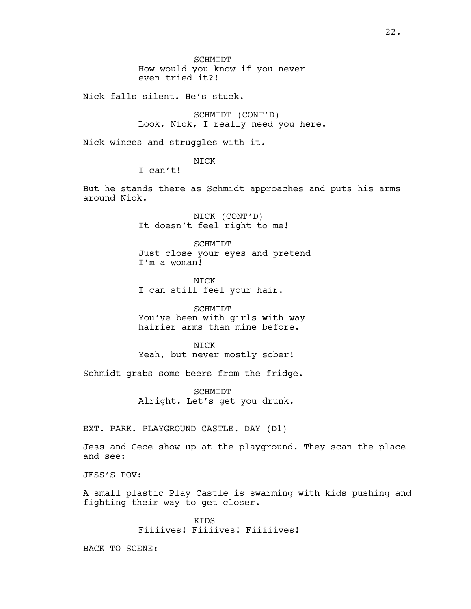SCHMIDT How would you know if you never even tried it?!

Nick falls silent. He's stuck.

SCHMIDT (CONT'D) Look, Nick, I really need you here.

Nick winces and struggles with it.

NICK

I can't!

But he stands there as Schmidt approaches and puts his arms around Nick.

> NICK (CONT'D) It doesn't feel right to me!

SCHMIDT Just close your eyes and pretend I'm a woman!

**NTCK** I can still feel your hair.

SCHMIDT You've been with girls with way hairier arms than mine before.

**NTCK** Yeah, but never mostly sober!

Schmidt grabs some beers from the fridge.

SCHMIDT Alright. Let's get you drunk.

EXT. PARK. PLAYGROUND CASTLE. DAY (D1)

Jess and Cece show up at the playground. They scan the place and see:

JESS'S POV:

A small plastic Play Castle is swarming with kids pushing and fighting their way to get closer.

> KIDS Fiiiives! Fiiiives! Fiiiiives!

BACK TO SCENE: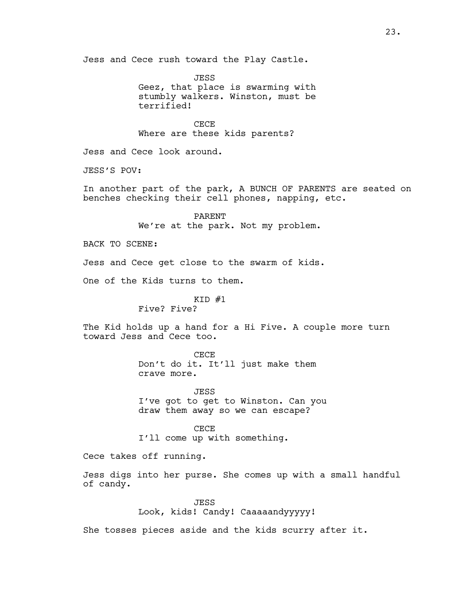Jess and Cece rush toward the Play Castle.

**JESS** Geez, that place is swarming with stumbly walkers. Winston, must be terrified!

CECE Where are these kids parents?

Jess and Cece look around.

JESS'S POV:

In another part of the park, A BUNCH OF PARENTS are seated on benches checking their cell phones, napping, etc.

> PARENT We're at the park. Not my problem.

BACK TO SCENE:

Jess and Cece get close to the swarm of kids.

One of the Kids turns to them.

 $KID$   $#1$ Five? Five?

The Kid holds up a hand for a Hi Five. A couple more turn toward Jess and Cece too.

> CECE Don't do it. It'll just make them crave more.

JESS I've got to get to Winston. Can you draw them away so we can escape?

CECE I'll come up with something.

Cece takes off running.

Jess digs into her purse. She comes up with a small handful of candy.

> JESS Look, kids! Candy! Caaaaandyyyyy!

She tosses pieces aside and the kids scurry after it.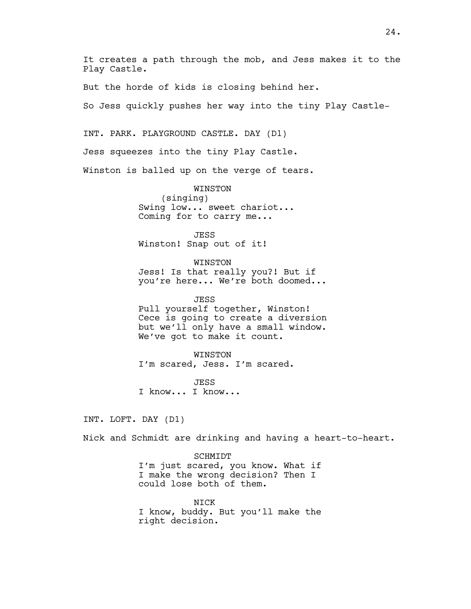It creates a path through the mob, and Jess makes it to the Play Castle.

But the horde of kids is closing behind her.

So Jess quickly pushes her way into the tiny Play Castle-

INT. PARK. PLAYGROUND CASTLE. DAY (D1)

Jess squeezes into the tiny Play Castle.

Winston is balled up on the verge of tears.

WINSTON (singing) Swing low... sweet chariot... Coming for to carry me...

JESS Winston! Snap out of it!

WINSTON Jess! Is that really you?! But if you're here... We're both doomed...

JESS Pull yourself together, Winston! Cece is going to create a diversion but we'll only have a small window. We've got to make it count.

WINSTON I'm scared, Jess. I'm scared.

**JESS** I know... I know...

INT. LOFT. DAY (D1)

Nick and Schmidt are drinking and having a heart-to-heart.

#### SCHMIDT

I'm just scared, you know. What if I make the wrong decision? Then I could lose both of them.

NICK I know, buddy. But you'll make the right decision.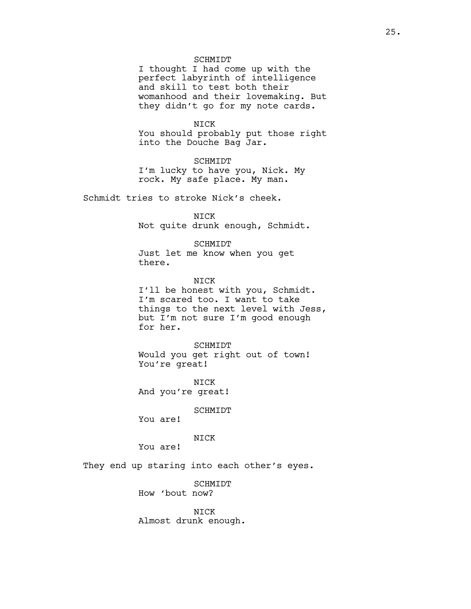#### SCHMIDT

I thought I had come up with the perfect labyrinth of intelligence and skill to test both their womanhood and their lovemaking. But they didn't go for my note cards.

NICK You should probably put those right into the Douche Bag Jar.

SCHMIDT I'm lucky to have you, Nick. My rock. My safe place. My man.

Schmidt tries to stroke Nick's cheek.

NICK Not quite drunk enough, Schmidt.

SCHMIDT

Just let me know when you get there.

NICK I'll be honest with you, Schmidt. I'm scared too. I want to take things to the next level with Jess, but I'm not sure I'm good enough for her.

SCHMIDT Would you get right out of town! You're great!

NICK And you're great!

SCHMIDT

You are!

NICK

You are!

They end up staring into each other's eyes.

**SCHMIDT** How 'bout now?

NICK Almost drunk enough.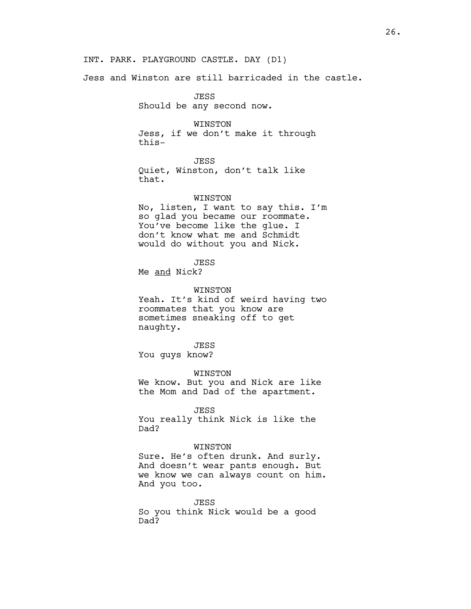Jess and Winston are still barricaded in the castle.

JESS Should be any second now.

WINSTON Jess, if we don't make it through this-

JESS

Quiet, Winston, don't talk like that.

#### WINSTON

No, listen, I want to say this. I'm so glad you became our roommate. You've become like the glue. I don't know what me and Schmidt would do without you and Nick.

**JESS** 

Me and Nick?

WINSTON

Yeah. It's kind of weird having two roommates that you know are sometimes sneaking off to get naughty.

JESS You guys know?

WINSTON We know. But you and Nick are like the Mom and Dad of the apartment.

JESS

You really think Nick is like the Dad?

# WINSTON

Sure. He's often drunk. And surly. And doesn't wear pants enough. But we know we can always count on him. And you too.

JESS So you think Nick would be a good Dad?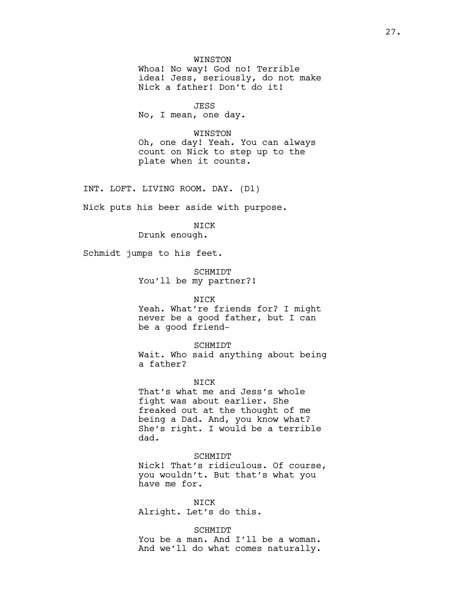WINSTON

Whoa! No way! God no! Terrible idea! Jess, seriously, do not make Nick a father! Don't do it!

JESS No, I mean, one day.

#### WINSTON

Oh, one day! Yeah. You can always count on Nick to step up to the plate when it counts.

INT. LOFT. LIVING ROOM. DAY. (D1)

Nick puts his beer aside with purpose.

NICK

Drunk enough.

Schmidt jumps to his feet.

SCHMIDT You'll be my partner?!

# NICK

Yeah. What're friends for? I might never be a good father, but I can be a good friend-

SCHMIDT Wait. Who said anything about being a father?

**NTCK** That's what me and Jess's whole fight was about earlier. She freaked out at the thought of me being a Dad. And, you know what? She's right. I would be a terrible dad.

## SCHMIDT

Nick! That's ridiculous. Of course, you wouldn't. But that's what you have me for.

NICK Alright. Let's do this.

SCHMIDT You be a man. And I'll be a woman. And we'll do what comes naturally.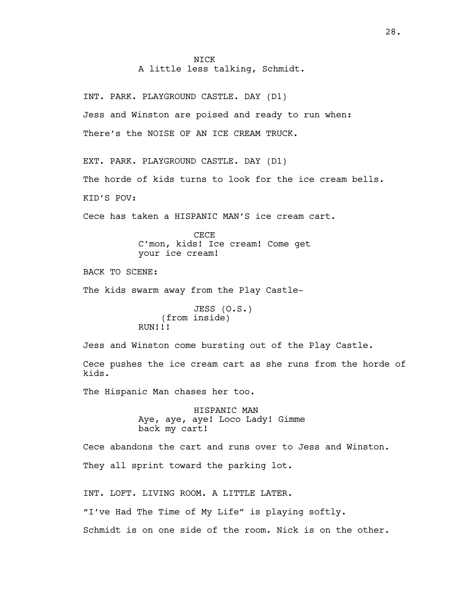# **NTCK** A little less talking, Schmidt.

INT. PARK. PLAYGROUND CASTLE. DAY (D1) Jess and Winston are poised and ready to run when: There's the NOISE OF AN ICE CREAM TRUCK.

EXT. PARK. PLAYGROUND CASTLE. DAY (D1) The horde of kids turns to look for the ice cream bells. KID'S POV:

Cece has taken a HISPANIC MAN'S ice cream cart.

CECE C'mon, kids! Ice cream! Come get your ice cream!

BACK TO SCENE:

The kids swarm away from the Play Castle-

JESS (O.S.) (from inside) RUN!!!

Jess and Winston come bursting out of the Play Castle.

Cece pushes the ice cream cart as she runs from the horde of kids.

The Hispanic Man chases her too.

HISPANIC MAN Aye, aye, aye! Loco Lady! Gimme back my cart!

Cece abandons the cart and runs over to Jess and Winston. They all sprint toward the parking lot.

INT. LOFT. LIVING ROOM. A LITTLE LATER. "I've Had The Time of My Life" is playing softly. Schmidt is on one side of the room. Nick is on the other.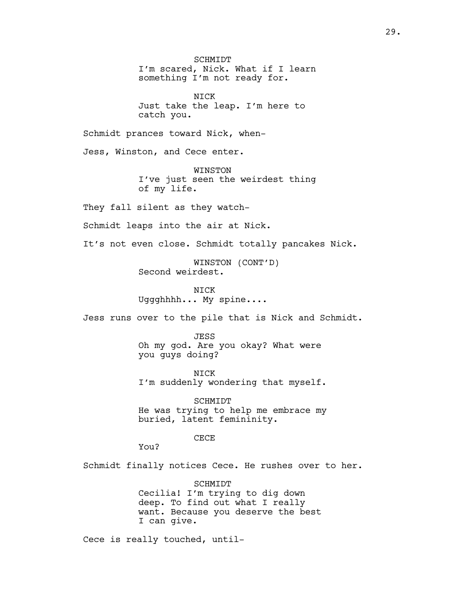SCHMIDT I'm scared, Nick. What if I learn something I'm not ready for. NICK Just take the leap. I'm here to catch you. Schmidt prances toward Nick, when-Jess, Winston, and Cece enter. WINSTON I've just seen the weirdest thing of my life. They fall silent as they watch-Schmidt leaps into the air at Nick. It's not even close. Schmidt totally pancakes Nick. WINSTON (CONT'D) Second weirdest. NICK Uggghhhh... My spine.... Jess runs over to the pile that is Nick and Schmidt. JESS Oh my god. Are you okay? What were you guys doing? NICK I'm suddenly wondering that myself. SCHMIDT He was trying to help me embrace my buried, latent femininity. CECE You? Schmidt finally notices Cece. He rushes over to her. SCHMIDT Cecilia! I'm trying to dig down deep. To find out what I really want. Because you deserve the best I can give.

Cece is really touched, until-